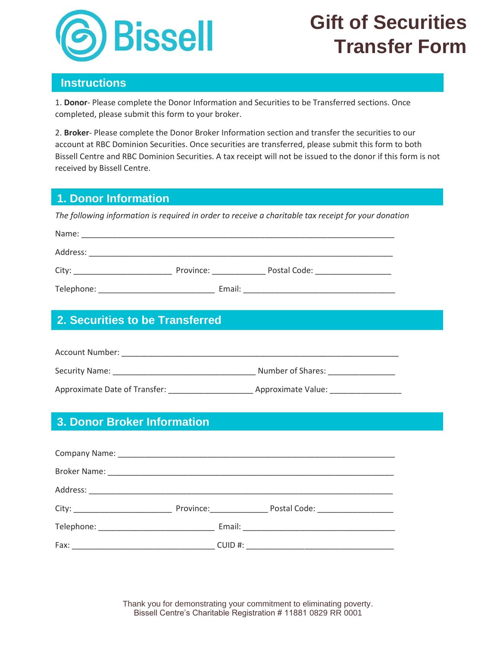

# **Gift of Securities Transfer Form**

#### **Instructions**

1. **Donor**- Please complete the Donor Information and Securities to be Transferred sections. Once completed, please submit this form to your broker.

2. **Broker**- Please complete the Donor Broker Information section and transfer the securities to our account at RBC Dominion Securities. Once securities are transferred, please submit this form to both Bissell Centre and RBC Dominion Securities. A tax receipt will not be issued to the donor if this form is not received by Bissell Centre.

### **1. Donor Information**

*The following information is required in order to receive a charitable tax receipt for your donation*

| Name:      |           |              |  |
|------------|-----------|--------------|--|
| Address:   |           |              |  |
| City:      | Province: | Postal Code: |  |
| Telephone: | Email:    |              |  |

# **2. Securities to be Transferred**

| Account Number:               |                    |  |  |  |
|-------------------------------|--------------------|--|--|--|
| Security Name:                | Number of Shares:  |  |  |  |
| Approximate Date of Transfer: | Approximate Value: |  |  |  |

# **3. Donor Broker Information**

|  | Province: Postal Code: 2000 Postal Code: |
|--|------------------------------------------|
|  |                                          |
|  |                                          |

Thank you for demonstrating your commitment to eliminating poverty. Bissell Centre's Charitable Registration # 11881 0829 RR 0001